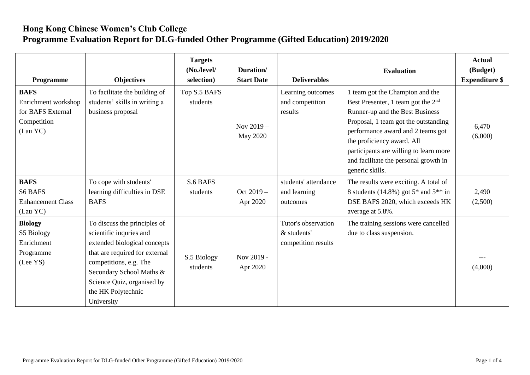## **Hong Kong Chinese Women's Club College Programme Evaluation Report for DLG-funded Other Programme (Gifted Education) 2019/2020**

| Programme                                                                          | <b>Objectives</b>                                                                                                                                                                                                                                 | <b>Targets</b><br>(No./level/<br>selection) | Duration/<br><b>Start Date</b> | <b>Deliverables</b>                                       | <b>Evaluation</b>                                                                                                                                                                                                                                                                                                           | <b>Actual</b><br>(Budget)<br><b>Expenditure \$</b> |
|------------------------------------------------------------------------------------|---------------------------------------------------------------------------------------------------------------------------------------------------------------------------------------------------------------------------------------------------|---------------------------------------------|--------------------------------|-----------------------------------------------------------|-----------------------------------------------------------------------------------------------------------------------------------------------------------------------------------------------------------------------------------------------------------------------------------------------------------------------------|----------------------------------------------------|
| <b>BAFS</b><br>Enrichment workshop<br>for BAFS External<br>Competition<br>(Lau YC) | To facilitate the building of<br>students' skills in writing a<br>business proposal                                                                                                                                                               | Top S.5 BAFS<br>students                    | Nov $2019 -$<br>May 2020       | Learning outcomes<br>and competition<br>results           | 1 team got the Champion and the<br>Best Presenter, 1 team got the $2nd$<br>Runner-up and the Best Business<br>Proposal, 1 team got the outstanding<br>performance award and 2 teams got<br>the proficiency award. All<br>participants are willing to learn more<br>and facilitate the personal growth in<br>generic skills. | 6,470<br>(6,000)                                   |
| <b>BAFS</b><br><b>S6 BAFS</b><br><b>Enhancement Class</b><br>(Lau YC)              | To cope with students'<br>learning difficulties in DSE<br><b>BAFS</b>                                                                                                                                                                             | S.6 BAFS<br>students                        | Oct $2019 -$<br>Apr 2020       | students' attendance<br>and learning<br>outcomes          | The results were exciting. A total of<br>8 students (14.8%) got $5*$ and $5**$ in<br>DSE BAFS 2020, which exceeds HK<br>average at 5.8%.                                                                                                                                                                                    | 2,490<br>(2,500)                                   |
| <b>Biology</b><br>S5 Biology<br>Enrichment<br>Programme<br>(Lee YS)                | To discuss the principles of<br>scientific inquries and<br>extended biological concepts<br>that are required for external<br>competitions, e.g. The<br>Secondary School Maths &<br>Science Quiz, organised by<br>the HK Polytechnic<br>University | S.5 Biology<br>students                     | Nov 2019 -<br>Apr 2020         | Tutor's observation<br>& students'<br>competition results | The training sessions were cancelled<br>due to class suspension.                                                                                                                                                                                                                                                            | (4,000)                                            |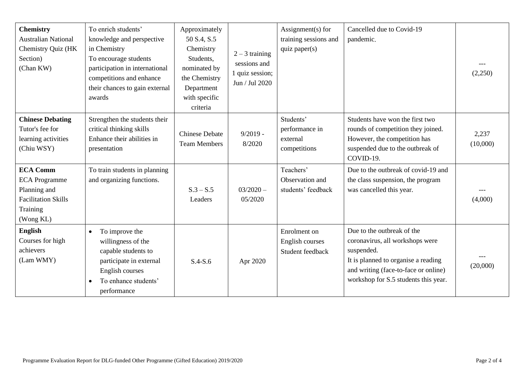| <b>Chemistry</b><br><b>Australian National</b><br>Chemistry Quiz (HK<br>Section)<br>(Chan KW)                  | To enrich students'<br>knowledge and perspective<br>in Chemistry<br>To encourage students<br>participation in international<br>competitions and enhance<br>their chances to gain external<br>awards | Approximately<br>50 S.4, S.5<br>Chemistry<br>Students,<br>nominated by<br>the Chemistry<br>Department<br>with specific<br>criteria | $2 - 3$ training<br>sessions and<br>1 quiz session;<br>Jun / Jul 2020 | Assignment(s) for<br>training sessions and<br>quiz paper $(s)$ | Cancelled due to Covid-19<br>pandemic.                                                                                                                                                             | (2,250)           |
|----------------------------------------------------------------------------------------------------------------|-----------------------------------------------------------------------------------------------------------------------------------------------------------------------------------------------------|------------------------------------------------------------------------------------------------------------------------------------|-----------------------------------------------------------------------|----------------------------------------------------------------|----------------------------------------------------------------------------------------------------------------------------------------------------------------------------------------------------|-------------------|
| <b>Chinese Debating</b><br>Tutor's fee for<br>learning activities<br>(Chiu WSY)                                | Strengthen the students their<br>critical thinking skills<br>Enhance their abilities in<br>presentation                                                                                             | <b>Chinese Debate</b><br><b>Team Members</b>                                                                                       | $9/2019 -$<br>8/2020                                                  | Students'<br>performance in<br>external<br>competitions        | Students have won the first two<br>rounds of competition they joined.<br>However, the competition has<br>suspended due to the outbreak of<br>COVID-19.                                             | 2,237<br>(10,000) |
| <b>ECA Comm</b><br><b>ECA Programme</b><br>Planning and<br><b>Facilitation Skills</b><br>Training<br>(Wong KL) | To train students in planning<br>and organizing functions.                                                                                                                                          | $S.3 - S.5$<br>Leaders                                                                                                             | $03/2020 -$<br>05/2020                                                | Teachers'<br>Observation and<br>students' feedback             | Due to the outbreak of covid-19 and<br>the class suspension, the program<br>was cancelled this year.                                                                                               | (4,000)           |
| <b>English</b><br>Courses for high<br>achievers<br>(Lam WMY)                                                   | To improve the<br>$\bullet$<br>willingness of the<br>capable students to<br>participate in external<br>English courses<br>To enhance students'<br>$\bullet$<br>performance                          | $S.4-S.6$                                                                                                                          | Apr 2020                                                              | Enrolment on<br>English courses<br>Student feedback            | Due to the outbreak of the<br>coronavirus, all workshops were<br>suspended.<br>It is planned to organise a reading<br>and writing (face-to-face or online)<br>workshop for S.5 students this year. | (20,000)          |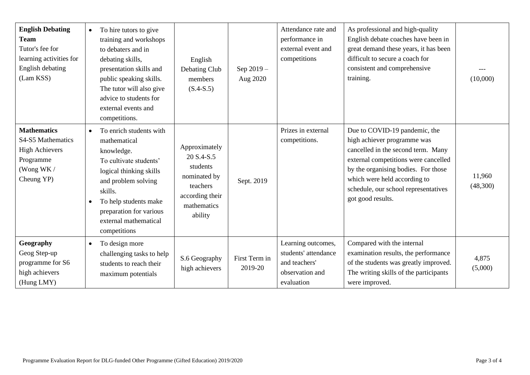| <b>English Debating</b><br><b>Team</b><br>Tutor's fee for<br>learning activities for<br>English debating<br>(Lam KSS) | To hire tutors to give<br>$\bullet$<br>training and workshops<br>to debaters and in<br>debating skills,<br>presentation skills and<br>public speaking skills.<br>The tutor will also give<br>advice to students for<br>external events and<br>competitions.         | English<br>Debating Club<br>members<br>$(S.4-S.5)$                                                               | Sep 2019-<br>Aug 2020    | Attendance rate and<br>performance in<br>external event and<br>competitions                  | As professional and high-quality<br>English debate coaches have been in<br>great demand these years, it has been<br>difficult to secure a coach for<br>consistent and comprehensive<br>training.                                                                               | (10,000)           |
|-----------------------------------------------------------------------------------------------------------------------|---------------------------------------------------------------------------------------------------------------------------------------------------------------------------------------------------------------------------------------------------------------------|------------------------------------------------------------------------------------------------------------------|--------------------------|----------------------------------------------------------------------------------------------|--------------------------------------------------------------------------------------------------------------------------------------------------------------------------------------------------------------------------------------------------------------------------------|--------------------|
| <b>Mathematics</b><br>S4-S5 Mathematics<br><b>High Achievers</b><br>Programme<br>(Wong WK /<br>Cheung YP)             | To enrich students with<br>$\bullet$<br>mathematical<br>knowledge.<br>To cultivate students'<br>logical thinking skills<br>and problem solving<br>skills.<br>To help students make<br>$\bullet$<br>preparation for various<br>external mathematical<br>competitions | Approximately<br>20 S.4-S.5<br>students<br>nominated by<br>teachers<br>according their<br>mathematics<br>ability | Sept. 2019               | Prizes in external<br>competitions.                                                          | Due to COVID-19 pandemic, the<br>high achiever programme was<br>cancelled in the second term. Many<br>external competitions were cancelled<br>by the organising bodies. For those<br>which were held according to<br>schedule, our school representatives<br>got good results. | 11,960<br>(48,300) |
| Geography<br>Geog Step-up<br>programme for S6<br>high achievers<br>(Hung LMY)                                         | To design more<br>$\bullet$<br>challenging tasks to help<br>students to reach their<br>maximum potentials                                                                                                                                                           | S.6 Geography<br>high achievers                                                                                  | First Term in<br>2019-20 | Learning outcomes,<br>students' attendance<br>and teachers'<br>observation and<br>evaluation | Compared with the internal<br>examination results, the performance<br>of the students was greatly improved.<br>The writing skills of the participants<br>were improved.                                                                                                        | 4,875<br>(5,000)   |